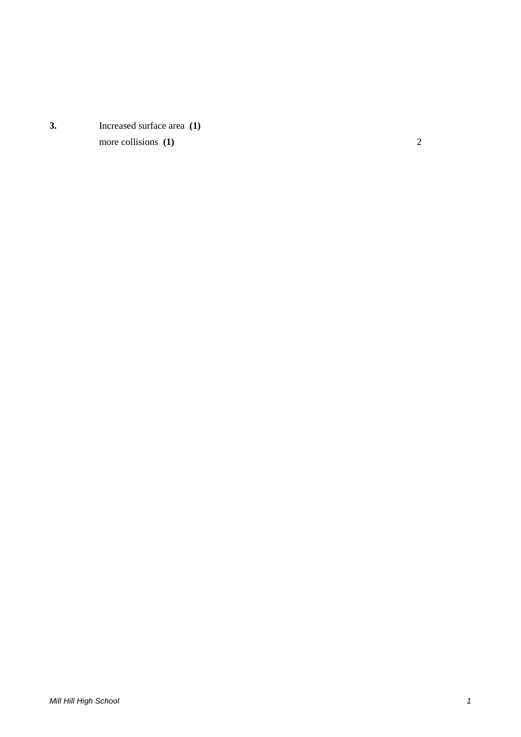**3.** Increased surface area **(1)** more collisions **(1)** 2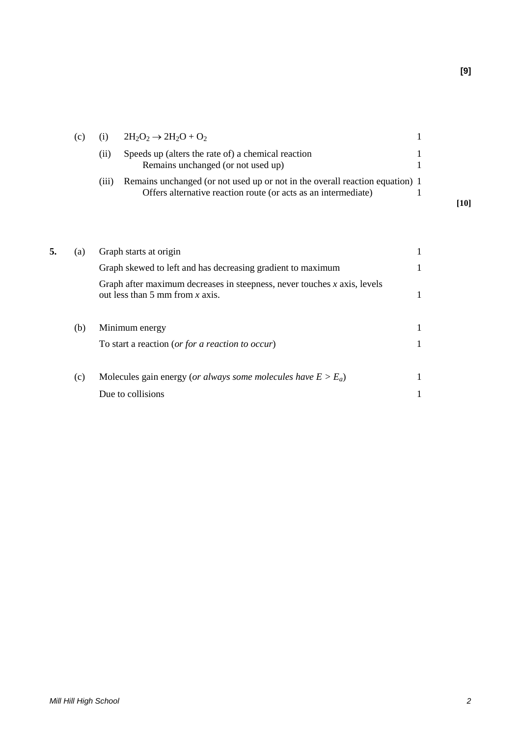|    | (c) | (i)   | $2H_2O_2 \rightarrow 2H_2O + O_2$                                                                                                              |              |      |
|----|-----|-------|------------------------------------------------------------------------------------------------------------------------------------------------|--------------|------|
|    |     | (ii)  | Speeds up (alters the rate of) a chemical reaction<br>Remains unchanged (or not used up)                                                       |              |      |
|    |     | (iii) | Remains unchanged (or not used up or not in the overall reaction equation) 1<br>Offers alternative reaction route (or acts as an intermediate) | 1            | [10] |
|    |     |       |                                                                                                                                                |              |      |
| 5. | (a) |       | Graph starts at origin                                                                                                                         | 1            |      |
|    |     |       | Graph skewed to left and has decreasing gradient to maximum                                                                                    |              |      |
|    |     |       | Graph after maximum decreases in steepness, never touches $x$ axis, levels                                                                     |              |      |
|    |     |       | out less than 5 mm from $x$ axis.                                                                                                              | $\mathbf{1}$ |      |
|    | (b) |       | Minimum energy                                                                                                                                 | 1            |      |
|    |     |       | To start a reaction (or for a reaction to occur)                                                                                               | 1            |      |
|    | (c) |       | Molecules gain energy (or always some molecules have $E > E_a$ )                                                                               | 1            |      |
|    |     |       | Due to collisions                                                                                                                              |              |      |
|    |     |       |                                                                                                                                                |              |      |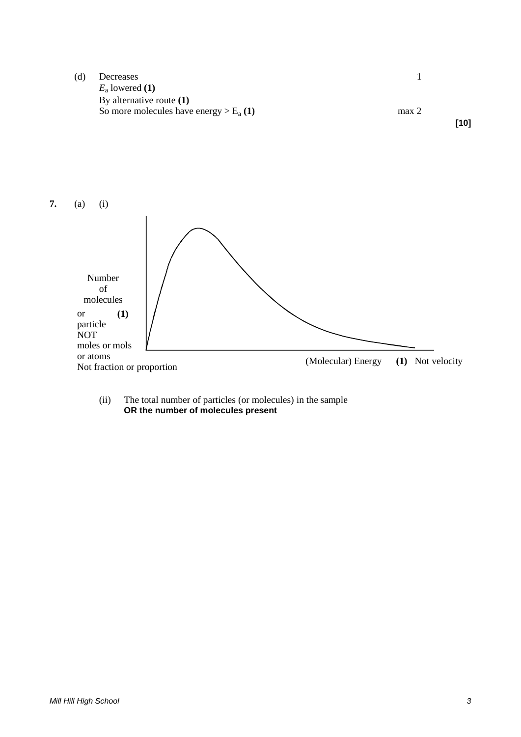(d) Decreases 1 *E*<sup>a</sup> lowered **(1)** By alternative route **(1)** So more molecules have energy  $> E_a(1)$  max 2 **[10]**



(ii) The total number of particles (or molecules) in the sample **OR the number of molecules present**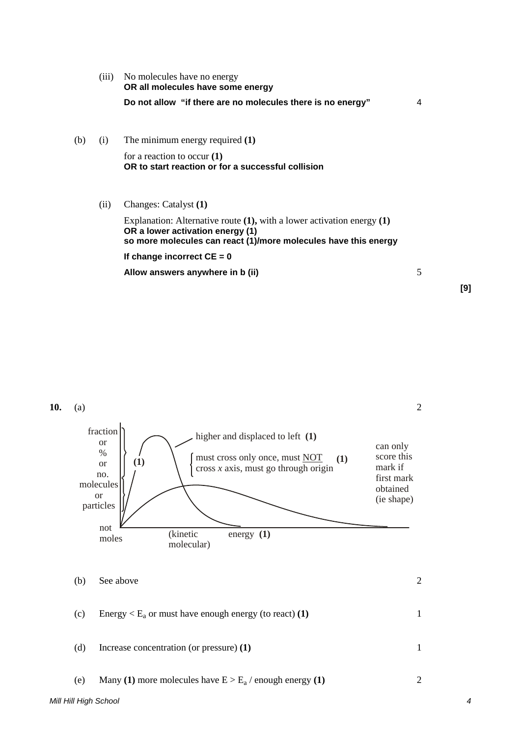|     | (iii) | No molecules have no energy<br>OR all molecules have some energy                                                                                                                   |   |
|-----|-------|------------------------------------------------------------------------------------------------------------------------------------------------------------------------------------|---|
|     |       | Do not allow "if there are no molecules there is no energy"                                                                                                                        | 4 |
| (b) | (i)   | The minimum energy required (1)                                                                                                                                                    |   |
|     |       | for a reaction to occur $(1)$<br>OR to start reaction or for a successful collision                                                                                                |   |
|     | (ii)  | Changes: Catalyst (1)                                                                                                                                                              |   |
|     |       | Explanation: Alternative route $(1)$ , with a lower activation energy $(1)$<br>OR a lower activation energy (1)<br>so more molecules can react (1)/more molecules have this energy |   |
|     |       | If change incorrect $CE = 0$                                                                                                                                                       |   |
|     |       | Allow answers anywhere in b (ii)                                                                                                                                                   | 5 |

**[9]**

**10.** (a) 2

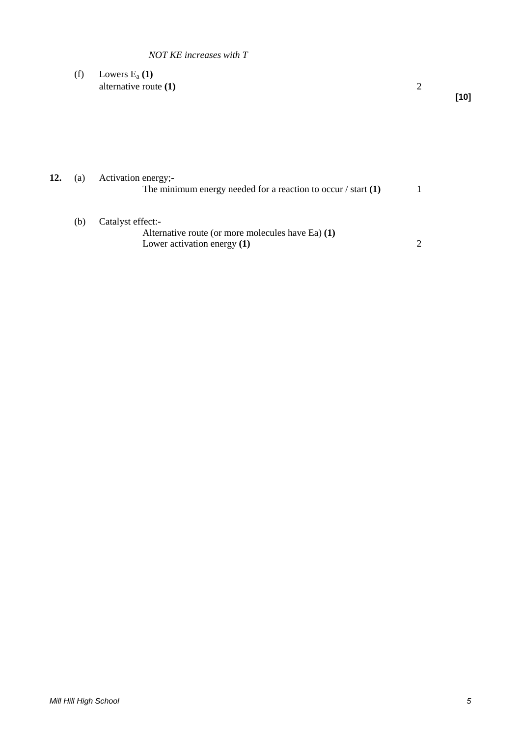### *NOT KE increases with T*

(f) Lowers  $E_a(1)$ alternative route **(1)** 2

**[10]**

**12.** (a) Activation energy;- The minimum energy needed for a reaction to occur / start **(1)** 1

- (b) Catalyst effect:-
	- Alternative route (or more molecules have Ea) **(1)** Lower activation energy **(1)** 2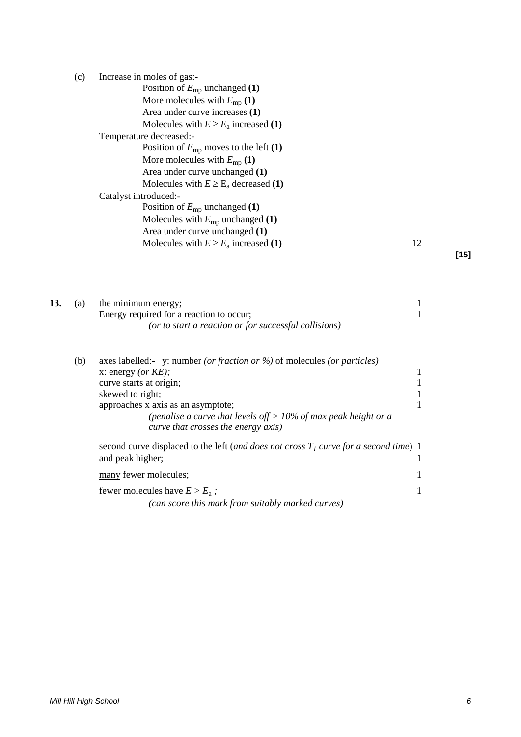| (c) | Increase in moles of gas:-                 |    |  |
|-----|--------------------------------------------|----|--|
|     | Position of $E_{mp}$ unchanged (1)         |    |  |
|     | More molecules with $E_{\rm mp}$ (1)       |    |  |
|     | Area under curve increases (1)             |    |  |
|     | Molecules with $E \ge E_a$ increased (1)   |    |  |
|     | Temperature decreased:-                    |    |  |
|     | Position of $E_{mp}$ moves to the left (1) |    |  |
|     | More molecules with $E_{mp}(1)$            |    |  |
|     | Area under curve unchanged (1)             |    |  |
|     | Molecules with $E \ge E_a$ decreased (1)   |    |  |
|     | Catalyst introduced:-                      |    |  |
|     | Position of $E_{mp}$ unchanged (1)         |    |  |
|     | Molecules with $E_{mp}$ unchanged (1)      |    |  |
|     | Area under curve unchanged (1)             |    |  |
|     | Molecules with $E \ge E_a$ increased (1)   | 12 |  |
|     |                                            |    |  |

**[15]**

| 13. | (a) | the minimum energy;<br>Energy required for a reaction to occur;<br>(or to start a reaction or for successful collisions)                                                                                                                                                                             |  |
|-----|-----|------------------------------------------------------------------------------------------------------------------------------------------------------------------------------------------------------------------------------------------------------------------------------------------------------|--|
|     | (b) | axes labelled:- y: number (or fraction or %) of molecules (or particles)<br>x: energy (or $KE$ );<br>curve starts at origin;<br>skewed to right;<br>approaches x axis as an asymptote;<br>(penalise a curve that levels of $f > 10\%$ of max peak height or a<br>curve that crosses the energy axis) |  |
|     |     | second curve displaced to the left (and does not cross $T1$ curve for a second time) 1<br>and peak higher;                                                                                                                                                                                           |  |

many fewer molecules; 1

fewer molecules have  $E > E_a$ ; 1

*(can score this mark from suitably marked curves)*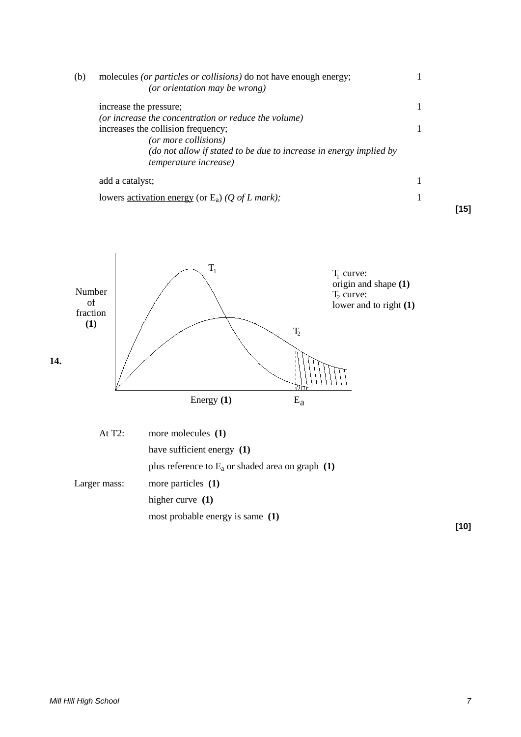| (b) | molecules (or particles or collisions) do not have enough energy;<br>(or orientation may be wrong) |    |
|-----|----------------------------------------------------------------------------------------------------|----|
|     | increase the pressure;                                                                             |    |
|     | (or increase the concentration or reduce the volume)                                               |    |
|     | increases the collision frequency;                                                                 |    |
|     | (or more collisions)                                                                               |    |
|     | (do not allow if stated to be due to increase in energy implied by                                 |    |
|     | <i>temperature increase</i> )                                                                      |    |
|     | add a catalyst;                                                                                    |    |
|     | lowers <u>activation energy</u> (or $E_a$ ) (Q of L mark);                                         |    |
|     |                                                                                                    | 15 |



| At $T2$ :    | more molecules $(1)$                                |
|--------------|-----------------------------------------------------|
|              | have sufficient energy $(1)$                        |
|              | plus reference to $E_a$ or shaded area on graph (1) |
| Larger mass: | more particles $(1)$                                |
|              | higher curve $(1)$                                  |
|              | most probable energy is same (1)                    |

**[10]**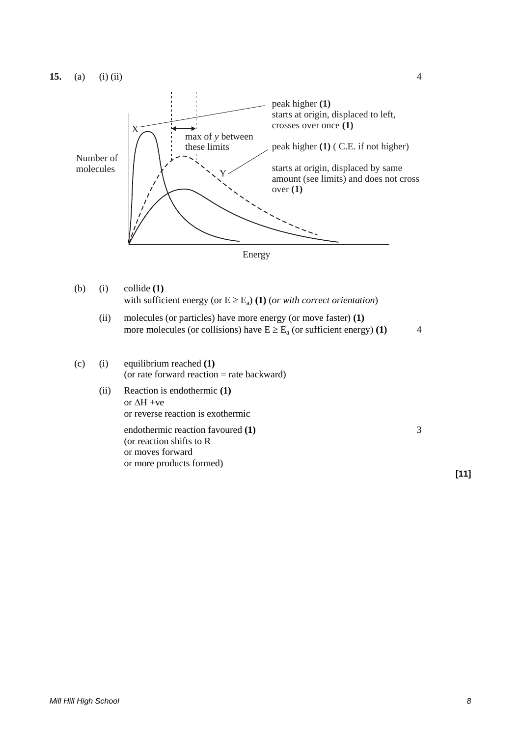



(b) (i) collide (1)  
with sufficient energy (or 
$$
E \ge E_a
$$
) (1) (*or with correct orientation*)

(ii) molecules (or particles) have more energy (or move faster) (1)  
more molecules (or collisions) have 
$$
E \ge E_a
$$
 (or sufficient energy) (1)

(c) (i) equilibrium reached 
$$
(1)
$$
 (or rate forward reaction = rate backward)

(ii) Reaction is endothermic **(1)** or ∆H +ve or reverse reaction is exothermic

> endothermic reaction favoured **(1)** 3 (or reaction shifts to R or moves forward or more products formed)

**[11]**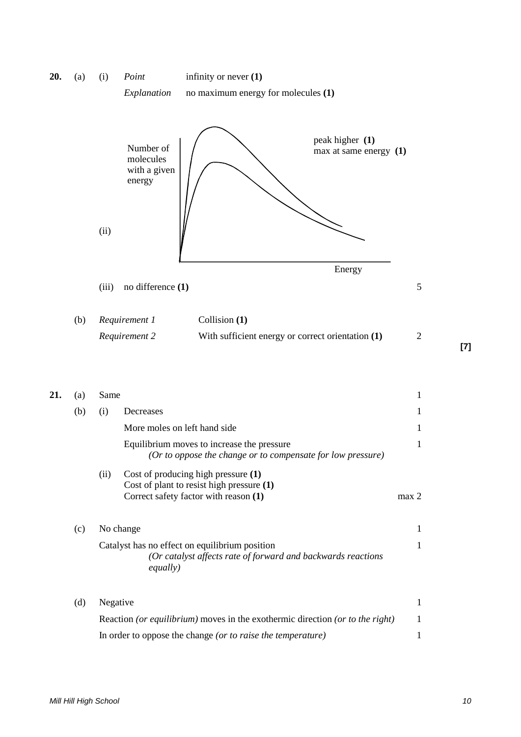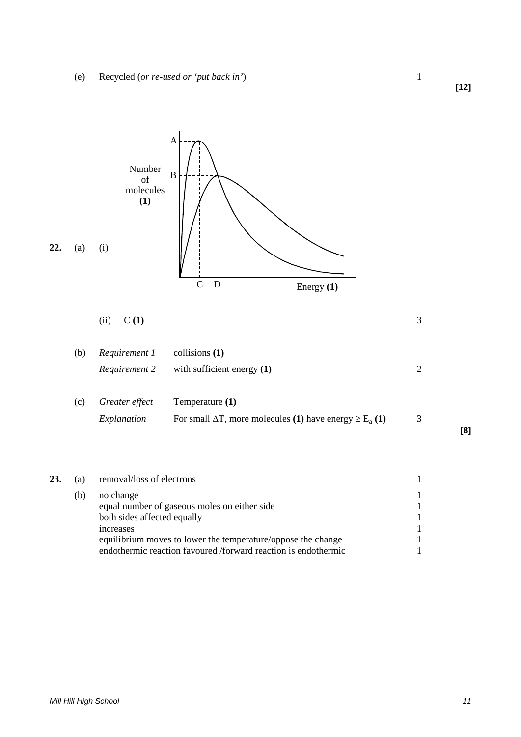

| removal/loss of electrons                    |  |
|----------------------------------------------|--|
| no change                                    |  |
| equal number of gaseous moles on either side |  |
| both sides affected equally                  |  |

increases 1 equilibrium moves to lower the temperature/oppose the change 1 endothermic reaction favoured /forward reaction is endothermic 1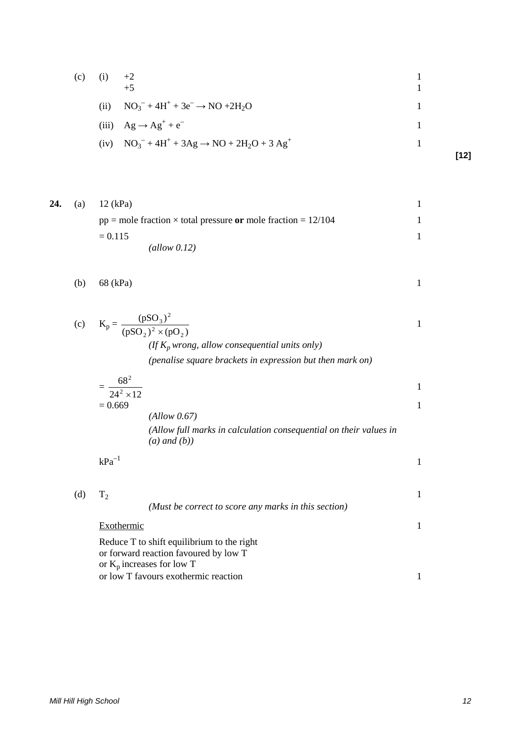| (c) | $+2$<br>$+5$                                               |      |
|-----|------------------------------------------------------------|------|
|     | (ii) $NO_3^- + 4H^+ + 3e^- \rightarrow NO + 2H_2O$         |      |
|     | (iii) $Ag \rightarrow Ag^{+} + e^{-}$                      |      |
|     | (iv) $NO_3^- + 4H^+ + 3Ag \rightarrow NO + 2H_2O + 3 Ag^+$ | [12] |
|     |                                                            |      |

24. (a) 12 (kPa)  
\n
$$
pp = \text{mole fraction} \times \text{total pressure or mole fraction} = 12/104
$$
\n
$$
= 0.115
$$
\n(*allow 0.12*)

$$
(b) 68 (kPa) 1
$$

(c) 
$$
K_p = \frac{(pSO_3)^2}{(pSO_2)^2 \times (pO_2)}
$$
  
\n(*If*  $K_p$  wrong, allow consequential units only)  
\n(pendise square brackets in expression but then mark on)

$$
=\frac{68^2}{24^2 \times 12}
$$
  
= 0.669

*(Allow 0.67) (Allow full marks in calculation consequential on their values in (a) and (b))*

 $kPa^{-1}$  1

(d)  $T_2$  1 *(Must be correct to score any marks in this section)* Exothermic 1 Reduce T to shift equilibrium to the right or forward reaction favoured by low T or Kp increases for low T or low T favours exothermic reaction 1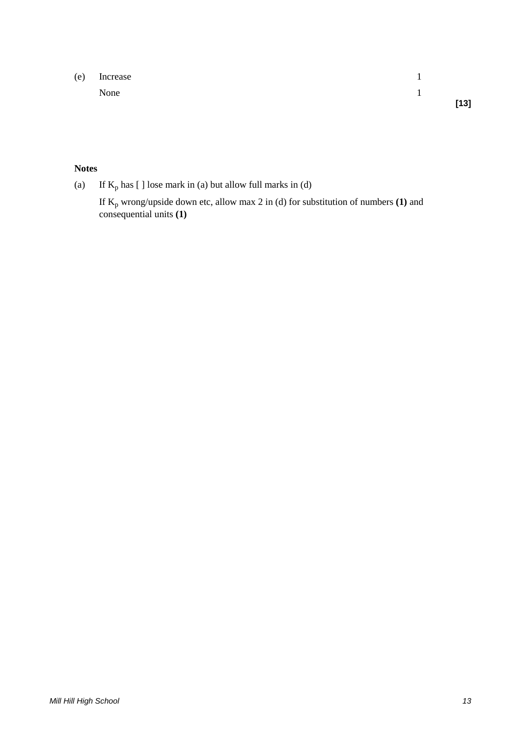(e) Increase 1 None 1 **[13]**

# **Notes**

(a) If  $K_p$  has [ ] lose mark in (a) but allow full marks in (d)

If Kp wrong/upside down etc, allow max 2 in (d) for substitution of numbers **(1)** and consequential units **(1)**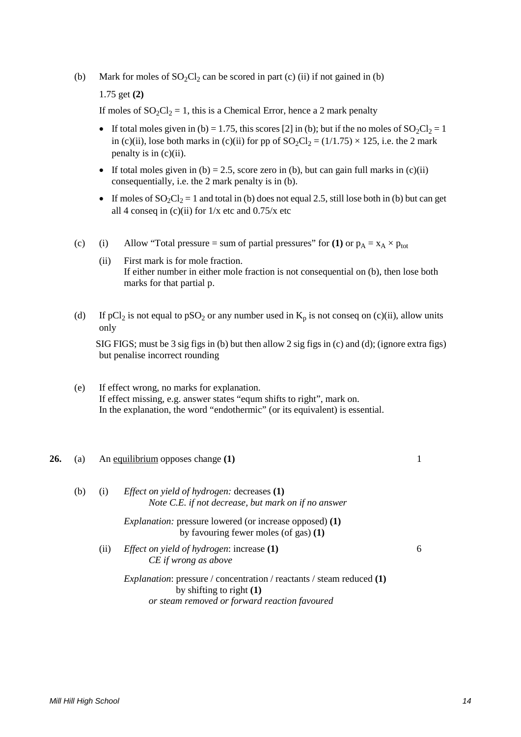(b) Mark for moles of  $SO_2Cl_2$  can be scored in part (c) (ii) if not gained in (b)

1.75 get **(2)**

If moles of  $SO_2Cl_2 = 1$ , this is a Chemical Error, hence a 2 mark penalty

- If total moles given in (b) = 1.75, this scores [2] in (b); but if the no moles of  $SO_2Cl_2 = 1$ in (c)(ii), lose both marks in (c)(ii) for pp of  $SO_2Cl_2 = (1/1.75) \times 125$ , i.e. the 2 mark penalty is in  $(c)(ii)$ .
- If total moles given in (b) = 2.5, score zero in (b), but can gain full marks in (c)(ii) consequentially, i.e. the 2 mark penalty is in (b).
- If moles of  $SO_2Cl_2 = 1$  and total in (b) does not equal 2.5, still lose both in (b) but can get all 4 conseq in (c)(ii) for  $1/x$  etc and  $0.75/x$  etc
- (c) (i) Allow "Total pressure = sum of partial pressures" for **(1)** or  $p_A = x_A \times p_{tot}$ 
	- (ii) First mark is for mole fraction. If either number in either mole fraction is not consequential on (b), then lose both marks for that partial p.
- (d) If pCl<sub>2</sub> is not equal to pSO<sub>2</sub> or any number used in  $K_p$  is not conseq on (c)(ii), allow units only

SIG FIGS; must be 3 sig figs in (b) but then allow 2 sig figs in (c) and (d); (ignore extra figs) but penalise incorrect rounding

- (e) If effect wrong, no marks for explanation. If effect missing, e.g. answer states "equm shifts to right", mark on. In the explanation, the word "endothermic" (or its equivalent) is essential.
- **26.** (a) An equilibrium opposes change **(1)** 1
	- (b) (i) *Effect on yield of hydrogen:* decreases **(1)** *Note C.E. if not decrease, but mark on if no answer Explanation:* pressure lowered (or increase opposed) **(1)** by favouring fewer moles (of gas) **(1)** (ii) *Effect on yield of hydrogen*: increase **(1)** 6 *CE if wrong as above Explanation*: pressure / concentration / reactants / steam reduced **(1)** by shifting to right **(1)** *or steam removed or forward reaction favoured*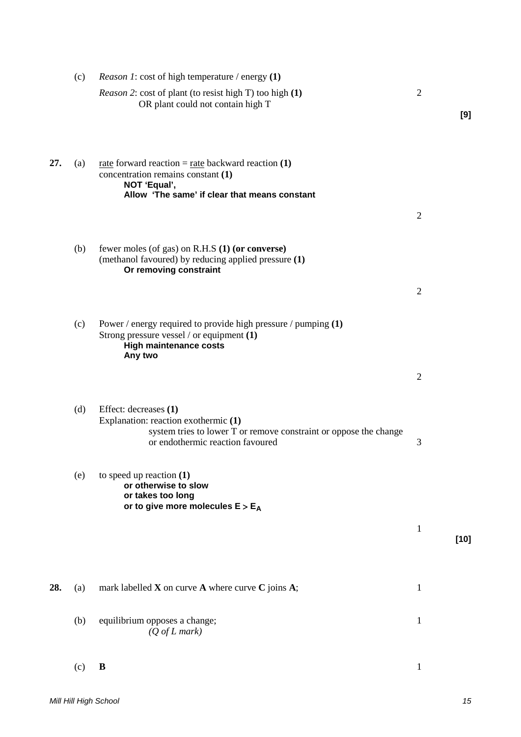|     | (c) | <i>Reason 1</i> : cost of high temperature / energy (1)                                                                                                                         |                |        |
|-----|-----|---------------------------------------------------------------------------------------------------------------------------------------------------------------------------------|----------------|--------|
|     |     | <i>Reason 2:</i> cost of plant (to resist high T) too high (1)<br>OR plant could not contain high T                                                                             | $\mathfrak{2}$ | [9]    |
| 27. | (a) | <u>rate</u> forward reaction = $\frac{rate}{rate}$ backward reaction (1)<br>concentration remains constant (1)<br>NOT 'Equal',<br>Allow 'The same' if clear that means constant |                |        |
|     |     |                                                                                                                                                                                 | $\mathfrak{2}$ |        |
|     | (b) | fewer moles (of gas) on R.H.S (1) (or converse)<br>(methanol favoured) by reducing applied pressure (1)<br>Or removing constraint                                               |                |        |
|     |     |                                                                                                                                                                                 | $\overline{2}$ |        |
|     | (c) | Power / energy required to provide high pressure / pumping $(1)$<br>Strong pressure vessel / or equipment (1)<br><b>High maintenance costs</b><br>Any two                       |                |        |
|     |     |                                                                                                                                                                                 | $\mathfrak{2}$ |        |
|     | (d) | Effect: decreases (1)<br>Explanation: reaction exothermic (1)<br>system tries to lower T or remove constraint or oppose the change<br>or endothermic reaction favoured          | 3              |        |
|     | (e) | to speed up reaction $(1)$<br>or otherwise to slow<br>or takes too long<br>or to give more molecules $E > E_A$                                                                  |                |        |
|     |     |                                                                                                                                                                                 | $\mathbf{1}$   | $[10]$ |
| 28. | (a) | mark labelled $X$ on curve $A$ where curve $C$ joins $A$ ;                                                                                                                      | $\mathbf{1}$   |        |
|     | (b) | equilibrium opposes a change;<br>$(Q \text{ of } L \text{ mark})$                                                                                                               | $\mathbf{1}$   |        |
|     | (c) | B                                                                                                                                                                               | $\mathbf{1}$   |        |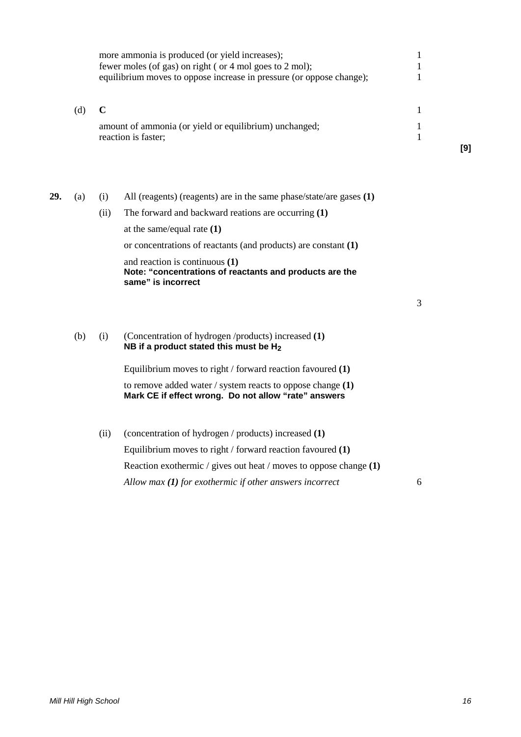|     |     |                     | more ammonia is produced (or yield increases);<br>fewer moles (of gas) on right (or 4 mol goes to 2 mol);<br>equilibrium moves to oppose increase in pressure (or oppose change); |     |
|-----|-----|---------------------|-----------------------------------------------------------------------------------------------------------------------------------------------------------------------------------|-----|
|     | (d) | reaction is faster; | amount of ammonia (or yield or equilibrium) unchanged;                                                                                                                            | [9] |
| 29. | (a) | (1)<br>(11)         | All (reagents) (reagents) are in the same phase/state/are gases $(1)$<br>The forward and backward reations are occurring (1)                                                      |     |

at the same/equal rate **(1)** or concentrations of reactants (and products) are constant **(1)** and reaction is continuous **(1) Note: "concentrations of reactants and products are the same" is incorrect**

3

(b) (i) (Concentration of hydrogen /products) increased **(1) NB if a product stated this must be H2**

> Equilibrium moves to right / forward reaction favoured **(1)** to remove added water / system reacts to oppose change **(1) Mark CE if effect wrong. Do not allow "rate" answers**

(ii) (concentration of hydrogen / products) increased **(1)** Equilibrium moves to right / forward reaction favoured **(1)** Reaction exothermic / gives out heat / moves to oppose change **(1)** *Allow max (1) for exothermic if other answers incorrect* 6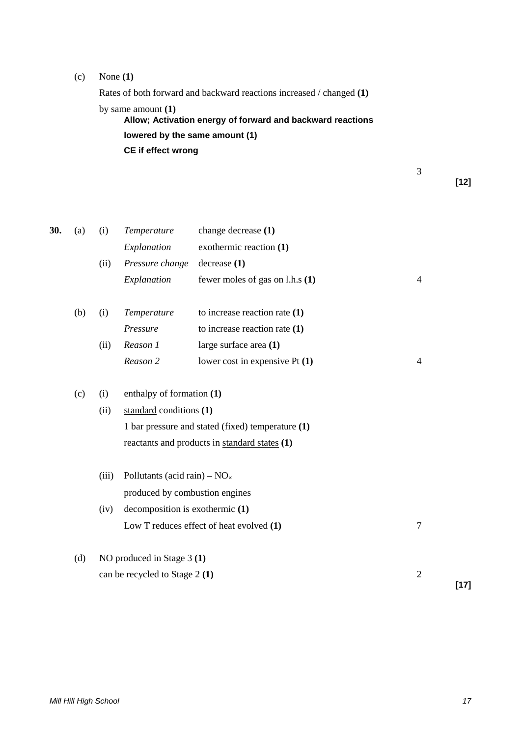## (c) None **(1)**

Rates of both forward and backward reactions increased / changed **(1)** by same amount **(1) Allow; Activation energy of forward and backward reactions lowered by the same amount (1) CE if effect wrong**

**[12]**

| 30. | (a) | (i)   | Temperature                            | change decrease (1)                               |                |        |
|-----|-----|-------|----------------------------------------|---------------------------------------------------|----------------|--------|
|     |     |       | Explanation                            | exothermic reaction (1)                           |                |        |
|     |     | (ii)  | Pressure change                        | decrease(1)                                       |                |        |
|     |     |       | Explanation                            | fewer moles of gas on l.h.s (1)                   | $\overline{4}$ |        |
|     | (b) | (i)   | Temperature                            | to increase reaction rate $(1)$                   |                |        |
|     |     |       | Pressure                               | to increase reaction rate $(1)$                   |                |        |
|     |     | (ii)  | Reason 1                               | large surface area (1)                            |                |        |
|     |     |       | Reason 2                               | lower cost in expensive $Pt(1)$                   | $\overline{4}$ |        |
|     | (c) | (i)   | enthalpy of formation (1)              |                                                   |                |        |
|     |     | (ii)  | standard conditions (1)                |                                                   |                |        |
|     |     |       |                                        | 1 bar pressure and stated (fixed) temperature (1) |                |        |
|     |     |       |                                        | reactants and products in standard states (1)     |                |        |
|     |     | (iii) | Pollutants (acid rain) – $NO_{\times}$ |                                                   |                |        |
|     |     |       | produced by combustion engines         |                                                   |                |        |
|     |     | (iv)  | decomposition is exothermic (1)        |                                                   |                |        |
|     |     |       |                                        | Low T reduces effect of heat evolved (1)          | $\tau$         |        |
|     | (d) |       | NO produced in Stage 3 (1)             |                                                   |                |        |
|     |     |       | can be recycled to Stage 2 (1)         |                                                   | $\overline{2}$ |        |
|     |     |       |                                        |                                                   |                | $[17]$ |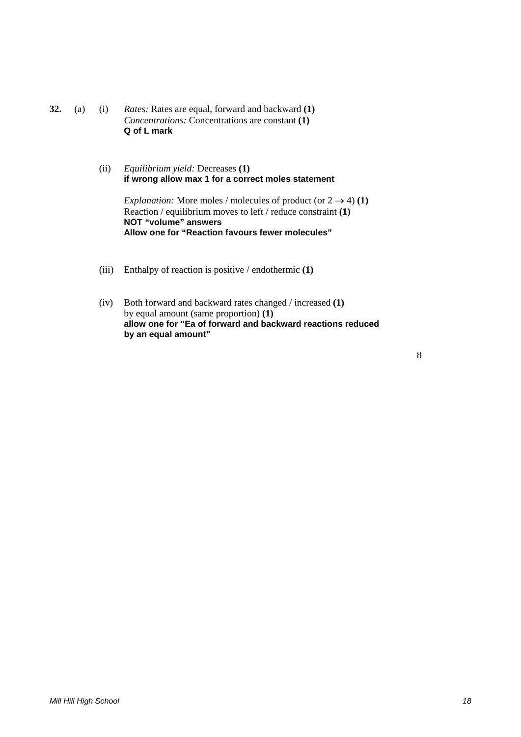**32.** (a) (i) *Rates:* Rates are equal, forward and backward **(1)** *Concentrations:* Concentrations are constant **(1) Q of L mark**

> (ii) *Equilibrium yield:* Decreases **(1) if wrong allow max 1 for a correct moles statement**

> > *Explanation:* More moles / molecules of product (or  $2 \rightarrow 4$ ) **(1)** Reaction / equilibrium moves to left / reduce constraint **(1) NOT "volume" answers Allow one for "Reaction favours fewer molecules"**

- (iii) Enthalpy of reaction is positive / endothermic **(1)**
- (iv) Both forward and backward rates changed / increased **(1)** by equal amount (same proportion) **(1) allow one for "Ea of forward and backward reactions reduced by an equal amount"**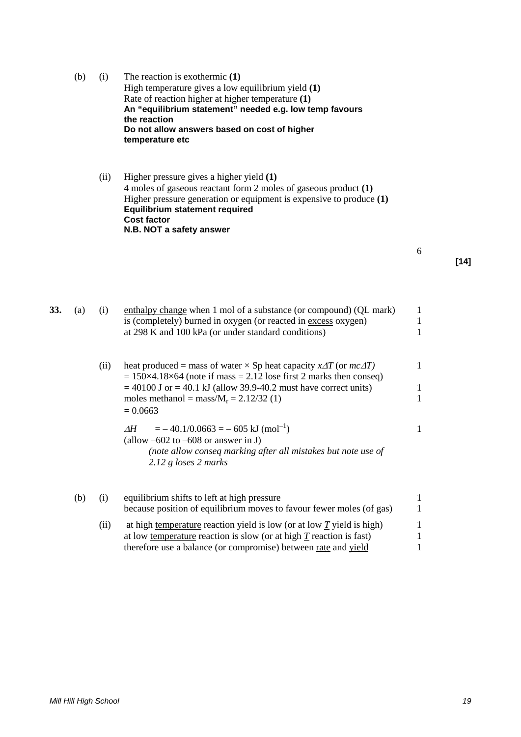| (b) | (1) | The reaction is exothermic $(1)$                                        |
|-----|-----|-------------------------------------------------------------------------|
|     |     | High temperature gives a low equilibrium yield (1)                      |
|     |     | Rate of reaction higher at higher temperature (1)                       |
|     |     | An "equilibrium statement" needed e.g. low temp favours<br>the reaction |
|     |     | Do not allow answers based on cost of higher                            |
|     |     | temperature etc                                                         |

(ii) Higher pressure gives a higher yield **(1)** 4 moles of gaseous reactant form 2 moles of gaseous product **(1)** Higher pressure generation or equipment is expensive to produce **(1) Equilibrium statement required Cost factor N.B. NOT a safety answer**

**[14]**

| 33. | (a) | (i)  | enthalpy change when 1 mol of a substance (or compound) (QL mark)<br>is (completely) burned in oxygen (or reacted in excess oxygen)<br>at 298 K and 100 kPa (or under standard conditions)                                                                                                                         | $\mathbf{1}$<br>$\mathbf{1}$<br>1 |
|-----|-----|------|--------------------------------------------------------------------------------------------------------------------------------------------------------------------------------------------------------------------------------------------------------------------------------------------------------------------|-----------------------------------|
|     |     | (ii) | heat produced = mass of water $\times$ Sp heat capacity $x\Delta T$ (or $mc\Delta T$ )<br>$= 150 \times 4.18 \times 64$ (note if mass $= 2.12$ lose first 2 marks then conseq)<br>$=$ 40100 J or $=$ 40.1 kJ (allow 39.9-40.2 must have correct units)<br>moles methanol = mass/ $M_r = 2.12/32$ (1)<br>$= 0.0663$ | $\mathbf{1}$<br>1<br>1            |
|     |     |      | $=$ -40.1/0.0663 = -605 kJ (mol <sup>-1</sup> )<br>ΔH<br>(allow $-602$ to $-608$ or answer in J)<br>(note allow conseq marking after all mistakes but note use of<br>2.12 g loses 2 marks                                                                                                                          | $\mathbf{1}$                      |
|     | (b) | (i)  | equilibrium shifts to left at high pressure<br>because position of equilibrium moves to favour fewer moles (of gas)                                                                                                                                                                                                | $\mathbf{1}$<br>$\mathbf{1}$      |
|     |     | (ii) | at high temperature reaction yield is low (or at low $\underline{T}$ yield is high)<br>at low temperature reaction is slow (or at high $T$ reaction is fast)<br>therefore use a balance (or compromise) between rate and yield                                                                                     | $\mathbf{1}$<br>1<br>1            |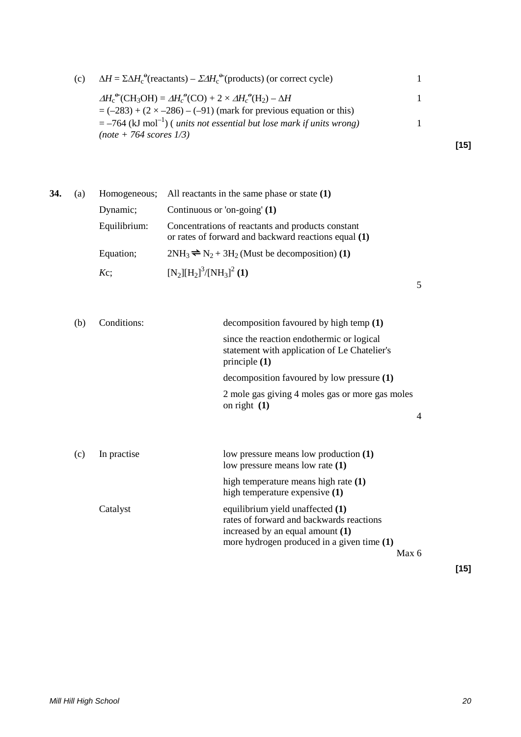| (c) | $\Delta H = \Sigma \Delta H_c^{\Theta}$ (reactants) – $\Sigma \Delta H_c^{\Theta}$ (products) (or correct cycle)                   |      |
|-----|------------------------------------------------------------------------------------------------------------------------------------|------|
|     | $\Delta H_c^{\Theta}(\text{CH}_3\text{OH}) = \Delta H_c^{\Theta}(\text{CO}) + 2 \times \Delta H_c^{\Theta}(\text{H}_2) - \Delta H$ |      |
|     | $= (-283) + (2 \times -286) - (-91)$ (mark for previous equation or this)                                                          |      |
|     | $=$ -764 (kJ mol <sup>-1</sup> ) ( <i>units not essential but lose mark if units wrong</i> )                                       |      |
|     | $(note + 764 scores 1/3)$                                                                                                          |      |
|     |                                                                                                                                    | [15] |

| 34. | (a) |              | Homogeneous; All reactants in the same phase or state $(1)$                                               |
|-----|-----|--------------|-----------------------------------------------------------------------------------------------------------|
|     |     | Dynamic;     | Continuous or 'on-going' $(1)$                                                                            |
|     |     | Equilibrium: | Concentrations of reactants and products constant<br>or rates of forward and backward reactions equal (1) |
|     |     | Equation;    | $2NH_3 \rightleftharpoons N_2 + 3H_2$ (Must be decomposition) (1)                                         |
|     |     | $Kc$ ;       | $[N_2][H_2]^3/[NH_3]^2$ (1)                                                                               |

| (b) | Conditions: | decomposition favoured by high temp (1)                                                                                                                        |   |        |
|-----|-------------|----------------------------------------------------------------------------------------------------------------------------------------------------------------|---|--------|
|     |             | since the reaction endothermic or logical<br>statement with application of Le Chatelier's<br>principle $(1)$                                                   |   |        |
|     |             | decomposition favoured by low pressure (1)                                                                                                                     |   |        |
|     |             | 2 mole gas giving 4 moles gas or more gas moles<br>on right $(1)$                                                                                              |   |        |
|     |             |                                                                                                                                                                | 4 |        |
|     |             |                                                                                                                                                                |   |        |
| (c) | In practise | low pressure means low production (1)<br>low pressure means low rate (1)                                                                                       |   |        |
|     |             | high temperature means high rate (1)<br>high temperature expensive (1)                                                                                         |   |        |
|     | Catalyst    | equilibrium yield unaffected (1)<br>rates of forward and backwards reactions<br>increased by an equal amount (1)<br>more hydrogen produced in a given time (1) |   |        |
|     |             | Max 6                                                                                                                                                          |   |        |
|     |             |                                                                                                                                                                |   | $[15]$ |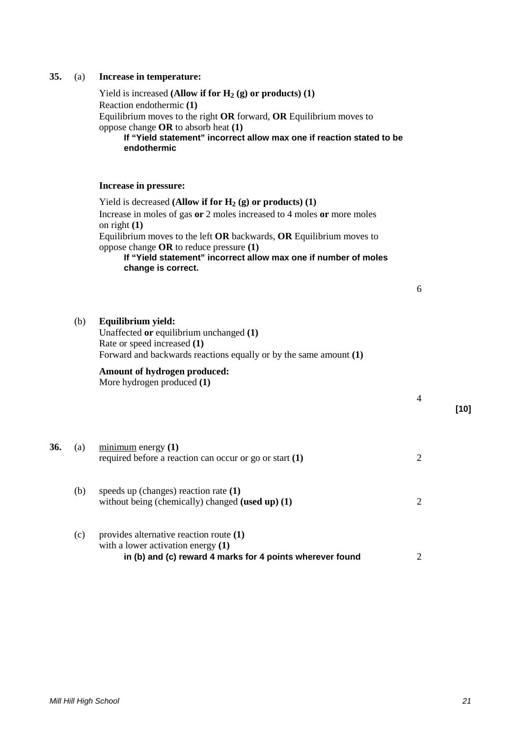#### *Mill Hill High School 21*

|     |     | If "Yield statement" incorrect allow max one if reaction stated to be<br>endothermic                                                                                                                                                                                                                                                                                  |                |
|-----|-----|-----------------------------------------------------------------------------------------------------------------------------------------------------------------------------------------------------------------------------------------------------------------------------------------------------------------------------------------------------------------------|----------------|
|     |     | Increase in pressure:                                                                                                                                                                                                                                                                                                                                                 |                |
|     |     | Yield is decreased (Allow if for $H_2(g)$ or products) (1)<br>Increase in moles of gas or 2 moles increased to 4 moles or more moles<br>on right $(1)$<br>Equilibrium moves to the left OR backwards, OR Equilibrium moves to<br>oppose change $OR$ to reduce pressure $(1)$<br>If "Yield statement" incorrect allow max one if number of moles<br>change is correct. |                |
|     |     |                                                                                                                                                                                                                                                                                                                                                                       | 6              |
|     | (b) | Equilibrium yield:<br>Unaffected or equilibrium unchanged (1)<br>Rate or speed increased (1)<br>Forward and backwards reactions equally or by the same amount $(1)$                                                                                                                                                                                                   |                |
|     |     | Amount of hydrogen produced:<br>More hydrogen produced (1)                                                                                                                                                                                                                                                                                                            | 4              |
| 36. | (a) | $minimum$ energy $(1)$<br>required before a reaction can occur or go or start $(1)$                                                                                                                                                                                                                                                                                   | $\overline{2}$ |
|     | (b) | speeds up (changes) reaction rate $(1)$<br>without being (chemically) changed (used up) $(1)$                                                                                                                                                                                                                                                                         | $\overline{2}$ |
|     | (c) | provides alternative reaction route (1)<br>with a lower activation energy $(1)$                                                                                                                                                                                                                                                                                       |                |

**in (b) and (c) reward 4 marks for 4 points wherever found** 2

### **35.** (a) **Increase in temperature:**

Reaction endothermic **(1)**

oppose change **OR** to absorb heat **(1)**

Yield is increased **(Allow if for**  $H_2$  **(g) or products)** (1)

Equilibrium moves to the right **OR** forward, **OR** Equilibrium moves to

**[10]**